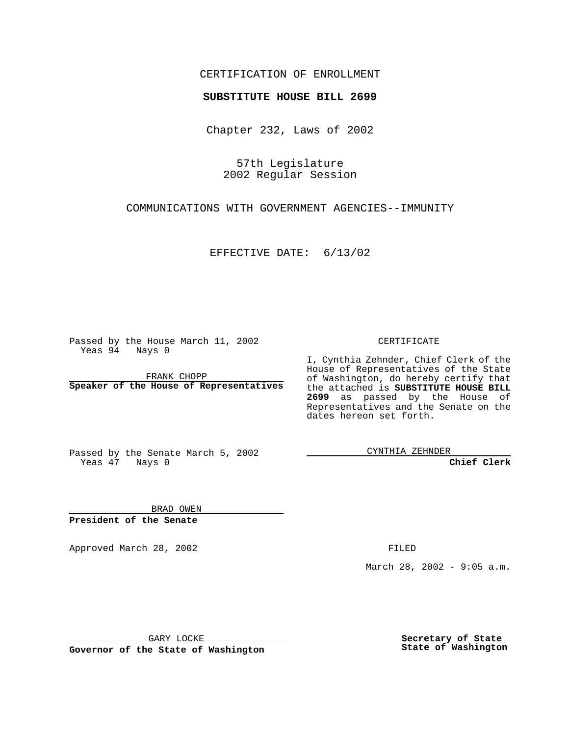#### CERTIFICATION OF ENROLLMENT

# **SUBSTITUTE HOUSE BILL 2699**

Chapter 232, Laws of 2002

57th Legislature 2002 Regular Session

COMMUNICATIONS WITH GOVERNMENT AGENCIES--IMMUNITY

EFFECTIVE DATE: 6/13/02

Passed by the House March 11, 2002 Yeas 94 Nays 0

FRANK CHOPP **Speaker of the House of Representatives** CERTIFICATE

I, Cynthia Zehnder, Chief Clerk of the House of Representatives of the State of Washington, do hereby certify that the attached is **SUBSTITUTE HOUSE BILL 2699** as passed by the House of Representatives and the Senate on the dates hereon set forth.

Passed by the Senate March 5, 2002 Yeas 47 Nays 0

CYNTHIA ZEHNDER

**Chief Clerk**

BRAD OWEN **President of the Senate**

Approved March 28, 2002 **FILED** 

March 28, 2002 - 9:05 a.m.

GARY LOCKE

**Governor of the State of Washington**

**Secretary of State State of Washington**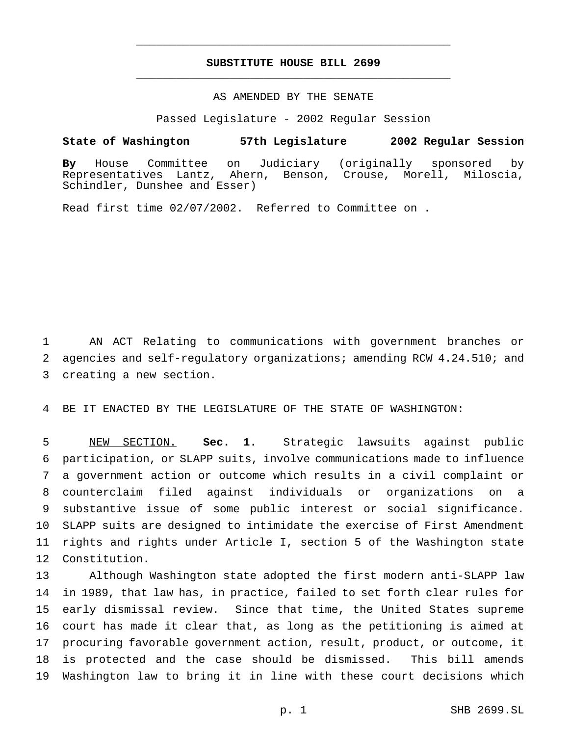## **SUBSTITUTE HOUSE BILL 2699** \_\_\_\_\_\_\_\_\_\_\_\_\_\_\_\_\_\_\_\_\_\_\_\_\_\_\_\_\_\_\_\_\_\_\_\_\_\_\_\_\_\_\_\_\_\_\_

\_\_\_\_\_\_\_\_\_\_\_\_\_\_\_\_\_\_\_\_\_\_\_\_\_\_\_\_\_\_\_\_\_\_\_\_\_\_\_\_\_\_\_\_\_\_\_

## AS AMENDED BY THE SENATE

Passed Legislature - 2002 Regular Session

#### **State of Washington 57th Legislature 2002 Regular Session**

**By** House Committee on Judiciary (originally sponsored by Representatives Lantz, Ahern, Benson, Crouse, Morell, Miloscia, Schindler, Dunshee and Esser)

Read first time 02/07/2002. Referred to Committee on .

 AN ACT Relating to communications with government branches or agencies and self-regulatory organizations; amending RCW 4.24.510; and creating a new section.

BE IT ENACTED BY THE LEGISLATURE OF THE STATE OF WASHINGTON:

 NEW SECTION. **Sec. 1.** Strategic lawsuits against public participation, or SLAPP suits, involve communications made to influence a government action or outcome which results in a civil complaint or counterclaim filed against individuals or organizations on a substantive issue of some public interest or social significance. SLAPP suits are designed to intimidate the exercise of First Amendment rights and rights under Article I, section 5 of the Washington state Constitution.

 Although Washington state adopted the first modern anti-SLAPP law in 1989, that law has, in practice, failed to set forth clear rules for early dismissal review. Since that time, the United States supreme court has made it clear that, as long as the petitioning is aimed at procuring favorable government action, result, product, or outcome, it is protected and the case should be dismissed. This bill amends Washington law to bring it in line with these court decisions which